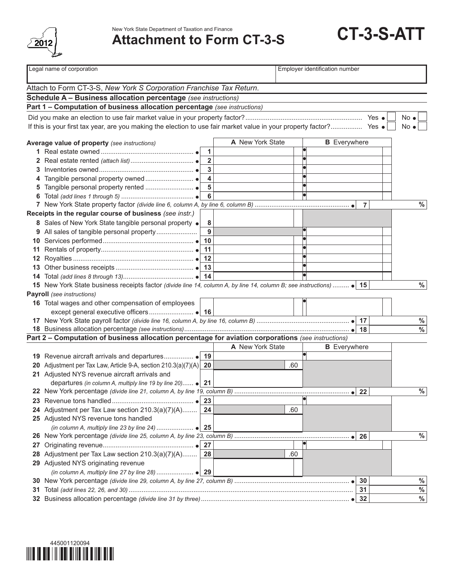

**CT-3-S-ATT** New York State Department of Taxation and Finance **Attachment to Form CT-3-S**

|    | Legal name of corporation                                                                                           |                         | Employer identification number |     |                     |              |  |
|----|---------------------------------------------------------------------------------------------------------------------|-------------------------|--------------------------------|-----|---------------------|--------------|--|
|    | Attach to Form CT-3-S, New York S Corporation Franchise Tax Return.                                                 |                         |                                |     |                     |              |  |
|    | Schedule A - Business allocation percentage (see instructions)                                                      |                         |                                |     |                     |              |  |
|    | Part 1 - Computation of business allocation percentage (see instructions)                                           |                         |                                |     |                     |              |  |
|    |                                                                                                                     |                         |                                |     |                     | $No \bullet$ |  |
|    | If this is your first tax year, are you making the election to use fair market value in your property factor? Yes . |                         |                                |     |                     | $No \bullet$ |  |
|    |                                                                                                                     |                         |                                |     |                     |              |  |
|    | Average value of property (see instructions)                                                                        |                         | A New York State               |     | <b>B</b> Everywhere |              |  |
|    |                                                                                                                     | 1                       |                                |     |                     |              |  |
|    |                                                                                                                     | $\overline{\mathbf{2}}$ |                                |     |                     |              |  |
|    |                                                                                                                     | 3                       |                                |     |                     |              |  |
|    |                                                                                                                     | $\overline{\mathbf{4}}$ |                                |     |                     |              |  |
|    |                                                                                                                     | 5                       |                                |     |                     |              |  |
|    |                                                                                                                     | $6\phantom{a}$          |                                |     |                     |              |  |
|    |                                                                                                                     |                         |                                |     | $\overline{7}$      | $\%$         |  |
|    | Receipts in the regular course of business (see instr.)                                                             |                         |                                |     |                     |              |  |
|    | 8 Sales of New York State tangible personal property .                                                              | 8                       |                                |     |                     |              |  |
|    | 9 All sales of tangible personal property                                                                           | 9                       |                                |     |                     |              |  |
|    |                                                                                                                     | 10                      |                                |     |                     |              |  |
|    |                                                                                                                     |                         |                                |     |                     |              |  |
|    |                                                                                                                     |                         |                                |     |                     |              |  |
|    |                                                                                                                     |                         |                                |     |                     |              |  |
|    |                                                                                                                     |                         |                                |     |                     |              |  |
|    | 15 New York State business receipts factor (divide line 14, column A, by line 14, column B; see instructions)  • 15 |                         |                                |     |                     | $\%$         |  |
|    | <b>Payroll</b> (see instructions)                                                                                   |                         |                                |     |                     |              |  |
|    | 16 Total wages and other compensation of employees                                                                  |                         |                                |     |                     |              |  |
|    |                                                                                                                     |                         |                                |     |                     |              |  |
|    |                                                                                                                     |                         |                                |     |                     | $\%$         |  |
|    |                                                                                                                     |                         |                                |     |                     | $\%$         |  |
|    | Part 2 - Computation of business allocation percentage for aviation corporations (see instructions)                 |                         |                                |     |                     |              |  |
|    |                                                                                                                     |                         | A New York State               |     | <b>B</b> Everywhere |              |  |
|    |                                                                                                                     |                         |                                |     |                     |              |  |
|    | 20 Adjustment per Tax Law, Article 9-A, section $210.3(a)(7)(A)$                                                    | 20                      |                                | .60 |                     |              |  |
|    | 21 Adjusted NYS revenue aircraft arrivals and                                                                       |                         |                                |     |                     |              |  |
|    | departures (in column A, multiply line 19 by line 20) $\bullet$   21                                                |                         |                                |     |                     |              |  |
|    |                                                                                                                     |                         |                                |     |                     | $\%$         |  |
|    |                                                                                                                     | 23                      |                                |     |                     |              |  |
|    | 24 Adjustment per Tax Law section 210.3(a)(7)(A)                                                                    | 24                      |                                | .60 |                     |              |  |
|    | 25 Adjusted NYS revenue tons handled                                                                                |                         |                                |     |                     |              |  |
|    |                                                                                                                     |                         |                                |     |                     |              |  |
|    |                                                                                                                     |                         |                                |     | 26<br>$\bullet$     | $\%$         |  |
| 27 |                                                                                                                     | 27                      |                                |     |                     |              |  |
| 28 | Adjustment per Tax Law section 210.3(a)(7)(A)                                                                       | 28                      |                                | .60 |                     |              |  |
|    | 29 Adjusted NYS originating revenue                                                                                 |                         |                                |     |                     |              |  |
|    |                                                                                                                     |                         |                                |     |                     |              |  |
|    |                                                                                                                     |                         |                                |     | 30                  | $\%$         |  |
| 31 |                                                                                                                     |                         |                                |     | 31                  | $\%$         |  |
|    |                                                                                                                     |                         |                                |     | 32                  | $\%$         |  |